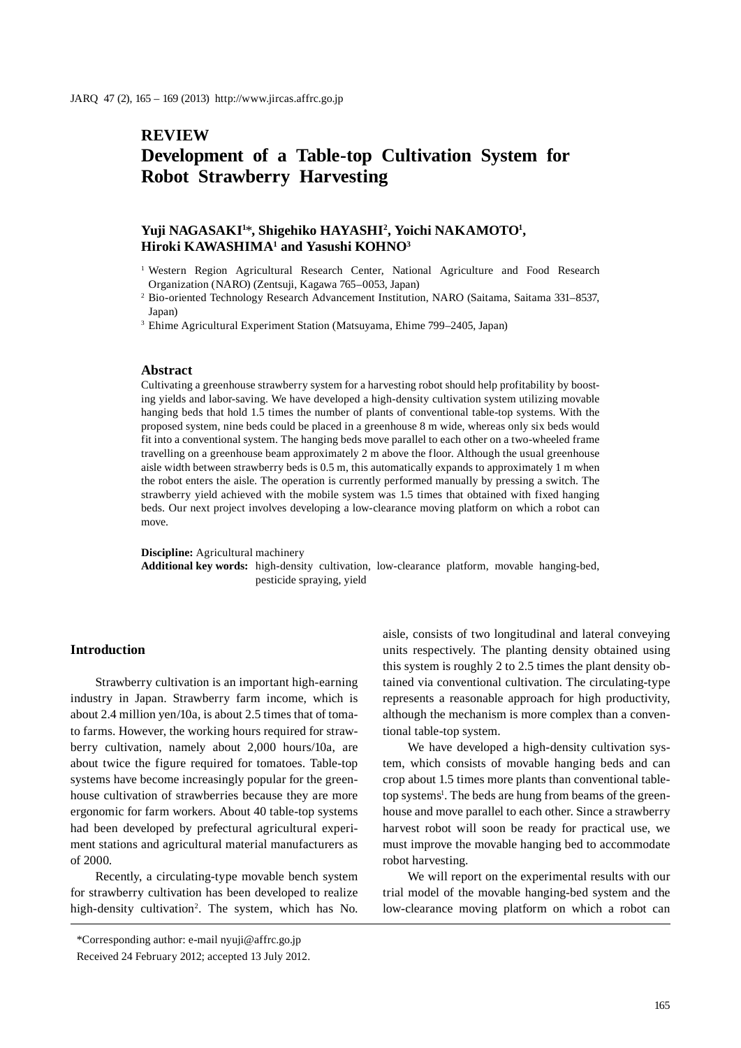# **REVIEW**

## **Development of a Table-top Cultivation System for Robot Strawberry Harvesting**

## **Yuji NAGASAKI1** \***, Shigehiko HAYASHI2 , Yoichi NAKAMOTO1 , Hiroki KAWASHIMA1 and Yasushi KOHNO3**

- <sup>1</sup> Western Region Agricultural Research Center, National Agriculture and Food Research Organization (NARO) (Zentsuji, Kagawa 765–0053, Japan)
- <sup>2</sup> Bio-oriented Technology Research Advancement Institution, NARO (Saitama, Saitama 331–8537, Japan)

3 Ehime Agricultural Experiment Station (Matsuyama, Ehime 799–2405, Japan)

#### **Abstract**

Cultivating a greenhouse strawberry system for a harvesting robot should help profitability by boosting yields and labor-saving. We have developed a high-density cultivation system utilizing movable hanging beds that hold 1.5 times the number of plants of conventional table-top systems. With the proposed system, nine beds could be placed in a greenhouse 8 m wide, whereas only six beds would fit into a conventional system. The hanging beds move parallel to each other on a two-wheeled frame travelling on a greenhouse beam approximately 2 m above the floor. Although the usual greenhouse aisle width between strawberry beds is 0.5 m, this automatically expands to approximately 1 m when the robot enters the aisle. The operation is currently performed manually by pressing a switch. The strawberry yield achieved with the mobile system was 1.5 times that obtained with fixed hanging beds. Our next project involves developing a low-clearance moving platform on which a robot can move.

**Discipline:** Agricultural machinery **Additional key words:** high-density cultivation, low-clearance platform, movable hanging-bed, pesticide spraying, yield

#### **Introduction**

Strawberry cultivation is an important high-earning industry in Japan. Strawberry farm income, which is about 2.4 million yen/10a, is about 2.5 times that of tomato farms. However, the working hours required for strawberry cultivation, namely about 2,000 hours/10a, are about twice the figure required for tomatoes. Table-top systems have become increasingly popular for the greenhouse cultivation of strawberries because they are more ergonomic for farm workers. About 40 table-top systems had been developed by prefectural agricultural experiment stations and agricultural material manufacturers as of 2000.

Recently, a circulating-type movable bench system for strawberry cultivation has been developed to realize high-density cultivation<sup>2</sup>. The system, which has No. aisle, consists of two longitudinal and lateral conveying units respectively. The planting density obtained using this system is roughly 2 to 2.5 times the plant density obtained via conventional cultivation. The circulating-type represents a reasonable approach for high productivity, although the mechanism is more complex than a conventional table-top system.

We have developed a high-density cultivation system, which consists of movable hanging beds and can crop about 1.5 times more plants than conventional tabletop systems<sup>1</sup>. The beds are hung from beams of the greenhouse and move parallel to each other. Since a strawberry harvest robot will soon be ready for practical use, we must improve the movable hanging bed to accommodate robot harvesting.

We will report on the experimental results with our trial model of the movable hanging-bed system and the low-clearance moving platform on which a robot can

<sup>\*</sup>Corresponding author: e-mail nyuji@affrc.go.jp

Received 24 February 2012; accepted 13 July 2012.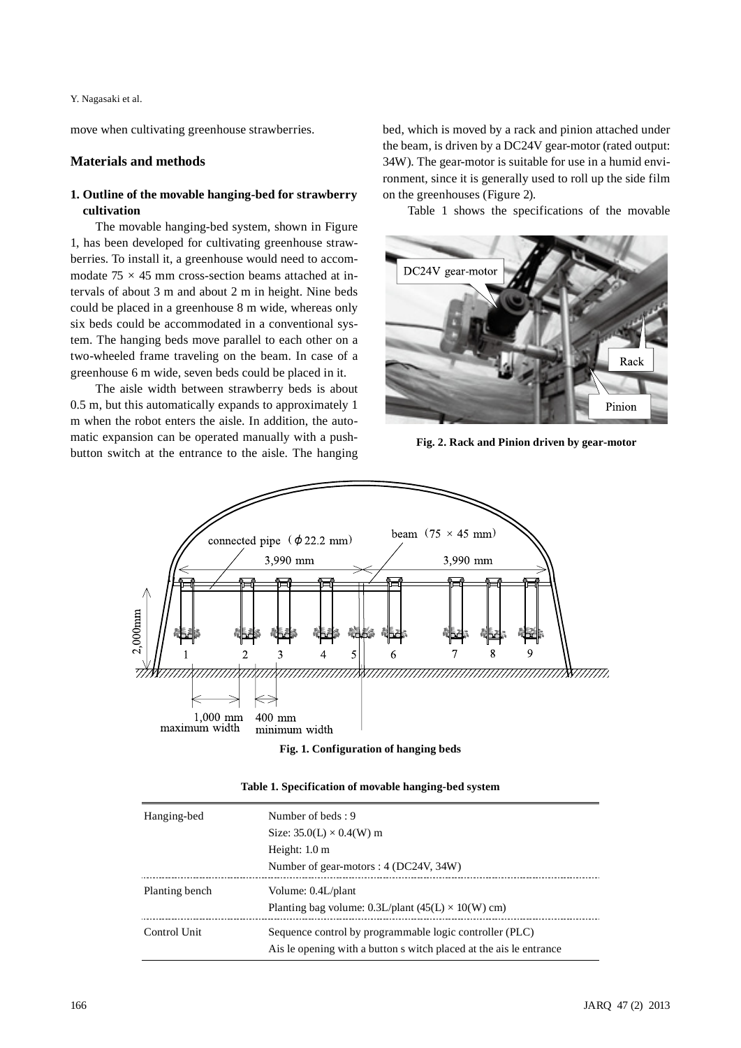Y. Nagasaki et al.

move when cultivating greenhouse strawberries.

## **Materials and methods**

## **1. Outline of the movable hanging-bed for strawberry cultivation**

The movable hanging-bed system, shown in Figure 1, has been developed for cultivating greenhouse strawberries. To install it, a greenhouse would need to accommodate 75 *×* 45 mm cross-section beams attached at intervals of about 3 m and about 2 m in height. Nine beds could be placed in a greenhouse 8 m wide, whereas only six beds could be accommodated in a conventional system. The hanging beds move parallel to each other on a two-wheeled frame traveling on the beam. In case of a greenhouse 6 m wide, seven beds could be placed in it.

The aisle width between strawberry beds is about 0.5 m, but this automatically expands to approximately 1 m when the robot enters the aisle. In addition, the automatic expansion can be operated manually with a pushbutton switch at the entrance to the aisle. The hanging bed, which is moved by a rack and pinion attached under the beam, is driven by a DC24V gear-motor (rated output: 34W). The gear-motor is suitable for use in a humid environment, since it is generally used to roll up the side film on the greenhouses (Figure 2).

Table 1 shows the specifications of the movable



**Fig. 2. Rack and Pinion driven by gear-motor**



**Fig. 1. Configuration of hanging beds**

| Table 1. Specification of movable hanging-bed system |  |  |
|------------------------------------------------------|--|--|
|                                                      |  |  |

| Hanging-bed    | Number of beds: 9                                                    |
|----------------|----------------------------------------------------------------------|
|                | Size: $35.0(L) \times 0.4(W)$ m                                      |
|                | Height: $1.0 \text{ m}$                                              |
|                | Number of gear-motors : 4 (DC24V, 34W)                               |
| Planting bench | Volume: 0.4L/plant                                                   |
|                | Planting bag volume: 0.3L/plant $(45(L) \times 10(W)$ cm)            |
| Control Unit   | Sequence control by programmable logic controller (PLC)              |
|                | A is le opening with a button s witch placed at the a is le entrance |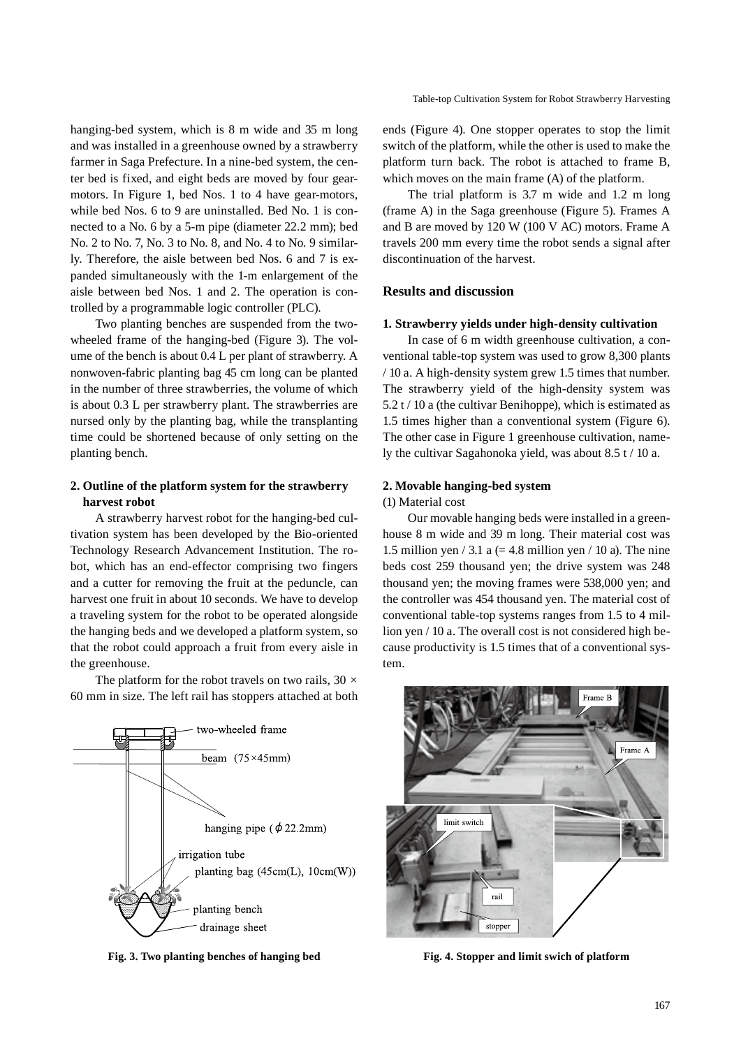hanging-bed system, which is 8 m wide and 35 m long and was installed in a greenhouse owned by a strawberry farmer in Saga Prefecture. In a nine-bed system, the center bed is fixed, and eight beds are moved by four gearmotors. In Figure 1, bed Nos. 1 to 4 have gear-motors, while bed Nos. 6 to 9 are uninstalled. Bed No. 1 is connected to a No. 6 by a 5-m pipe (diameter 22.2 mm); bed No. 2 to No. 7, No. 3 to No. 8, and No. 4 to No. 9 similarly. Therefore, the aisle between bed Nos. 6 and 7 is expanded simultaneously with the 1-m enlargement of the aisle between bed Nos. 1 and 2. The operation is controlled by a programmable logic controller (PLC).

Two planting benches are suspended from the twowheeled frame of the hanging-bed (Figure 3). The volume of the bench is about 0.4 L per plant of strawberry. A nonwoven-fabric planting bag 45 cm long can be planted in the number of three strawberries, the volume of which is about 0.3 L per strawberry plant. The strawberries are nursed only by the planting bag, while the transplanting time could be shortened because of only setting on the planting bench.

## **2. Outline of the platform system for the strawberry harvest robot**

A strawberry harvest robot for the hanging-bed cultivation system has been developed by the Bio-oriented Technology Research Advancement Institution. The robot, which has an end-effector comprising two fingers and a cutter for removing the fruit at the peduncle, can harvest one fruit in about 10 seconds. We have to develop a traveling system for the robot to be operated alongside the hanging beds and we developed a platform system, so that the robot could approach a fruit from every aisle in the greenhouse.

The platform for the robot travels on two rails, 30 *×* 60 mm in size. The left rail has stoppers attached at both



**Fig. 3. Two planting benches of hanging bed Fig. 4. Stopper and limit swich of platform**

ends (Figure 4). One stopper operates to stop the limit switch of the platform, while the other is used to make the platform turn back. The robot is attached to frame B, which moves on the main frame (A) of the platform.

The trial platform is 3.7 m wide and 1.2 m long (frame A) in the Saga greenhouse (Figure 5). Frames A and B are moved by 120 W (100 V AC) motors. Frame A travels 200 mm every time the robot sends a signal after discontinuation of the harvest.

## **Results and discussion**

#### **1. Strawberry yields under high-density cultivation**

In case of 6 m width greenhouse cultivation, a conventional table-top system was used to grow 8,300 plants / 10 a. A high-density system grew 1.5 times that number. The strawberry yield of the high-density system was  $5.2$  t / 10 a (the cultivar Benihoppe), which is estimated as 1.5 times higher than a conventional system (Figure 6). The other case in Figure 1 greenhouse cultivation, namely the cultivar Sagahonoka yield, was about 8.5 t / 10 a.

## **2. Movable hanging-bed system**

#### (1) Material cost

Our movable hanging beds were installed in a greenhouse 8 m wide and 39 m long. Their material cost was 1.5 million yen  $/ 3.1$  a (= 4.8 million yen  $/ 10$  a). The nine beds cost 259 thousand yen; the drive system was 248 thousand yen; the moving frames were 538,000 yen; and the controller was 454 thousand yen. The material cost of conventional table-top systems ranges from 1.5 to 4 million yen / 10 a. The overall cost is not considered high because productivity is 1.5 times that of a conventional system.

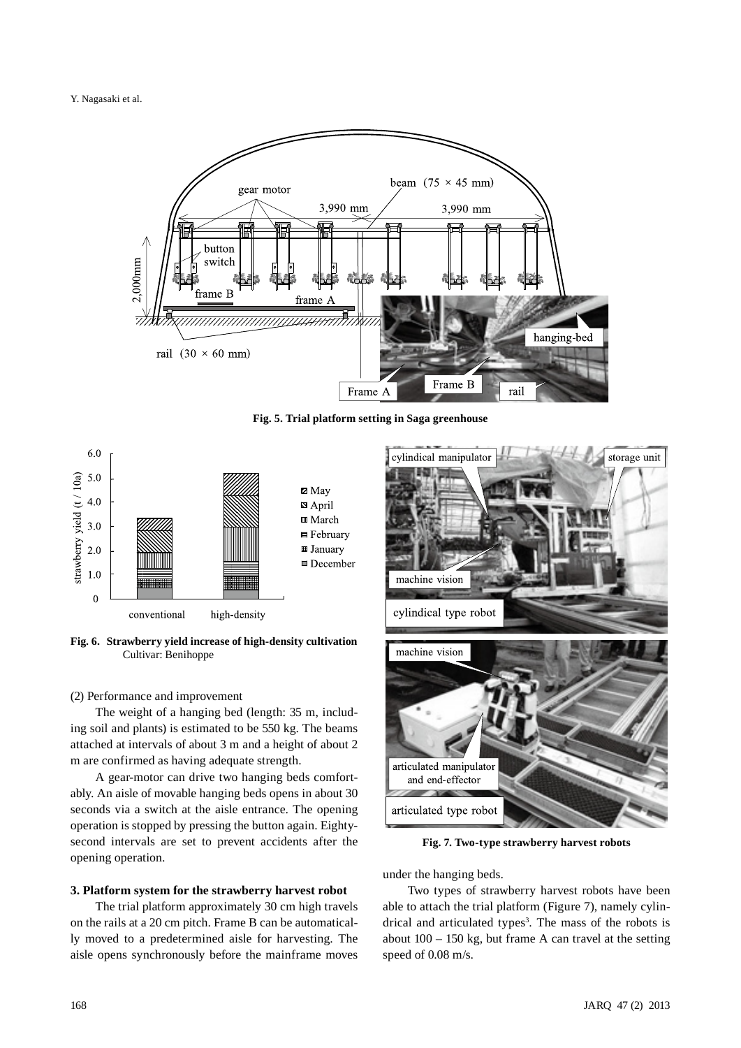Y. Nagasaki et al.



**Fig. 5. Trial platform setting in Saga greenhouse**



**Fig. 6. Strawberry yield increase of high-density cultivation** Cultivar: Benihoppe

#### (2) Performance and improvement

The weight of a hanging bed (length: 35 m, including soil and plants) is estimated to be 550 kg. The beams attached at intervals of about 3 m and a height of about 2 m are confirmed as having adequate strength.

A gear-motor can drive two hanging beds comfortably. An aisle of movable hanging beds opens in about 30 seconds via a switch at the aisle entrance. The opening operation is stopped by pressing the button again. Eightysecond intervals are set to prevent accidents after the opening operation.

#### **3. Platform system for the strawberry harvest robot**

The trial platform approximately 30 cm high travels on the rails at a 20 cm pitch. Frame B can be automatically moved to a predetermined aisle for harvesting. The aisle opens synchronously before the mainframe moves



**Fig. 7. Two-type strawberry harvest robots**

under the hanging beds.

Two types of strawberry harvest robots have been able to attach the trial platform (Figure 7), namely cylindrical and articulated types<sup>3</sup>. The mass of the robots is about  $100 - 150$  kg, but frame A can travel at the setting speed of 0.08 m/s.